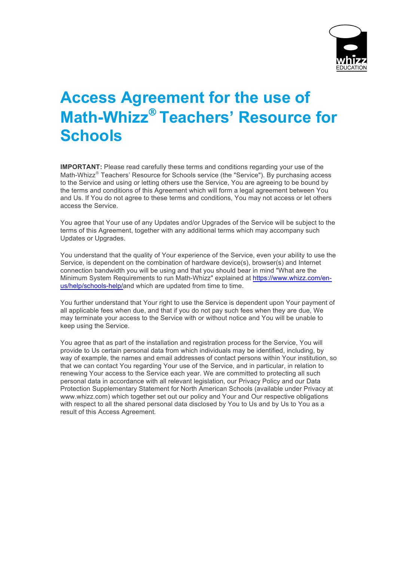

## **Access Agreement for the use of Math-Whizz<sup>®</sup> Teachers' Resource for Schools**

**IMPORTANT:** Please read carefully these terms and conditions regarding your use of the Math-Whizz<sup>®</sup> Teachers' Resource for Schools service (the "Service"). By purchasing access to the Service and using or letting others use the Service, You are agreeing to be bound by the terms and conditions of this Agreement which will form a legal agreement between You and Us. If You do not agree to these terms and conditions, You may not access or let others access the Service.

You agree that Your use of any Updates and/or Upgrades of the Service will be subject to the terms of this Agreement, together with any additional terms which may accompany such Updates or Upgrades.

You understand that the quality of Your experience of the Service, even your ability to use the Service, is dependent on the combination of hardware device(s), browser(s) and Internet connection bandwidth you will be using and that you should bear in mind "What are the Minimum System Requirements to run Math-Whizz" explained at https://www.whizz.com/enus/help/schools-help/and which are updated from time to time.

You further understand that Your right to use the Service is dependent upon Your payment of all applicable fees when due, and that if you do not pay such fees when they are due, We may terminate your access to the Service with or without notice and You will be unable to keep using the Service.

You agree that as part of the installation and registration process for the Service, You will provide to Us certain personal data from which individuals may be identified, including, by way of example, the names and email addresses of contact persons within Your institution, so that we can contact You regarding Your use of the Service, and in particular, in relation to renewing Your access to the Service each year. We are committed to protecting all such personal data in accordance with all relevant legislation, our Privacy Policy and our Data Protection Supplementary Statement for North American Schools (available under Privacy at www.whizz.com) which together set out our policy and Your and Our respective obligations with respect to all the shared personal data disclosed by You to Us and by Us to You as a result of this Access Agreement.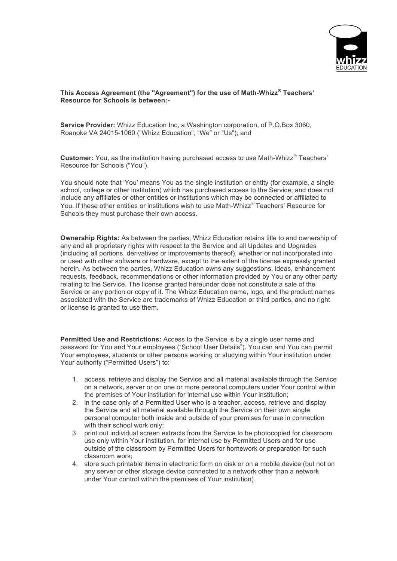

## **This Access Agreement (the "Agreement") for the use of Math-Whizz**<sup>Ò</sup> **Teachers' Resource for Schools is between:-**

**Service Provider:** Whizz Education Inc, a Washington corporation, of P.O.Box 3060, Roanoke VA 24015-1060 ("Whizz Education", "We" or "Us"); and

**Customer:** You, as the institution having purchased access to use Math-Whizz<sup>®</sup> Teachers' Resource for Schools ("You").

You should note that 'You' means You as the single institution or entity (for example, a single school, college or other institution) which has purchased access to the Service, and does not include any affiliates or other entities or institutions which may be connected or affiliated to You. If these other entities or institutions wish to use Math-Whizz® Teachers' Resource for Schools they must purchase their own access.

**Ownership Rights:** As between the parties, Whizz Education retains title to and ownership of any and all proprietary rights with respect to the Service and all Updates and Upgrades (including all portions, derivatives or improvements thereof), whether or not incorporated into or used with other software or hardware, except to the extent of the license expressly granted herein. As between the parties, Whizz Education owns any suggestions, ideas, enhancement requests, feedback, recommendations or other information provided by You or any other party relating to the Service. The license granted hereunder does not constitute a sale of the Service or any portion or copy of it. The Whizz Education name, logo, and the product names associated with the Service are trademarks of Whizz Education or third parties, and no right or license is granted to use them.

**Permitted Use and Restrictions:** Access to the Service is by a single user name and password for You and Your employees ("School User Details"). You can and You can permit Your employees, students or other persons working or studying within Your institution under Your authority ("Permitted Users") to:

- 1. access, retrieve and display the Service and all material available through the Service on a network, server or on one or more personal computers under Your control within the premises of Your institution for internal use within Your institution;
- 2. in the case only of a Permitted User who is a teacher, access, retrieve and display the Service and all material available through the Service on their own single personal computer both inside and outside of your premises for use in connection with their school work only;
- 3. print out individual screen extracts from the Service to be photocopied for classroom use only within Your institution, for internal use by Permitted Users and for use outside of the classroom by Permitted Users for homework or preparation for such classroom work;
- 4. store such printable items in electronic form on disk or on a mobile device (but not on any server or other storage device connected to a network other than a network under Your control within the premises of Your institution).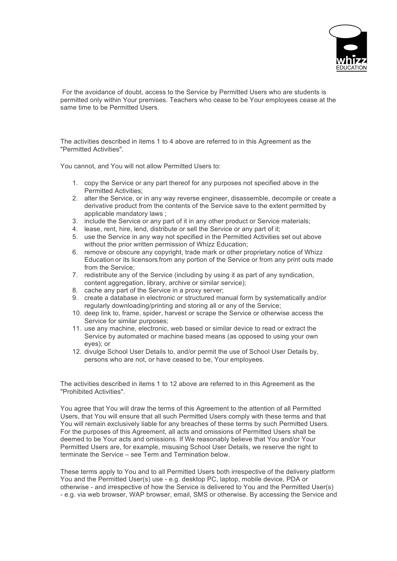

For the avoidance of doubt, access to the Service by Permitted Users who are students is permitted only within Your premises. Teachers who cease to be Your employees cease at the same time to be Permitted Users.

The activities described in items 1 to 4 above are referred to in this Agreement as the "Permitted Activities".

You cannot, and You will not allow Permitted Users to:

- 1. copy the Service or any part thereof for any purposes not specified above in the Permitted Activities;
- 2. alter the Service, or in any way reverse engineer, disassemble, decompile or create a derivative product from the contents of the Service save to the extent permitted by applicable mandatory laws ;
- 3. include the Service or any part of it in any other product or Service materials;
- 4. lease, rent, hire, lend, distribute or sell the Service or any part of it;
- 5. use the Service in any way not specified in the Permitted Activities set out above without the prior written permission of Whizz Education;
- 6. remove or obscure any copyright, trade mark or other proprietary notice of Whizz Education or its licensors from any portion of the Service or from any print outs made from the Service;
- 7. redistribute any of the Service (including by using it as part of any syndication, content aggregation, library, archive or similar service);
- 8. cache any part of the Service in a proxy server;
- 9. create a database in electronic or structured manual form by systematically and/or regularly downloading/printing and storing all or any of the Service;
- 10. deep link to, frame, spider, harvest or scrape the Service or otherwise access the Service for similar purposes;
- 11. use any machine, electronic, web based or similar device to read or extract the Service by automated or machine based means (as opposed to using your own eyes); or
- 12. divulge School User Details to, and/or permit the use of School User Details by, persons who are not, or have ceased to be, Your employees.

The activities described in items 1 to 12 above are referred to in this Agreement as the "Prohibited Activities".

You agree that You will draw the terms of this Agreement to the attention of all Permitted Users, that You will ensure that all such Permitted Users comply with these terms and that You will remain exclusively liable for any breaches of these terms by such Permitted Users. For the purposes of this Agreement, all acts and omissions of Permitted Users shall be deemed to be Your acts and omissions. If We reasonably believe that You and/or Your Permitted Users are, for example, misusing School User Details, we reserve the right to terminate the Service – see Term and Termination below.

These terms apply to You and to all Permitted Users both irrespective of the delivery platform You and the Permitted User(s) use - e.g. desktop PC, laptop, mobile device, PDA or otherwise - and irrespective of how the Service is delivered to You and the Permitted User(s) - e.g. via web browser, WAP browser, email, SMS or otherwise. By accessing the Service and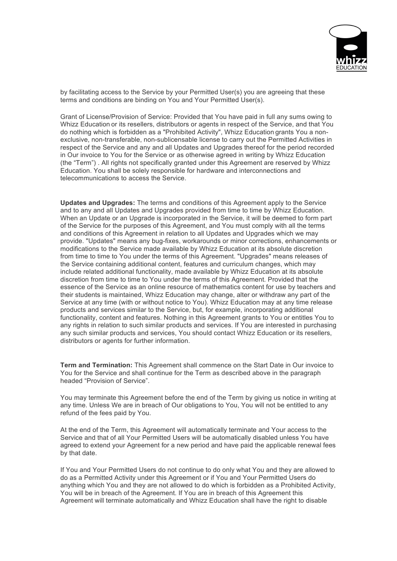

by facilitating access to the Service by your Permitted User(s) you are agreeing that these terms and conditions are binding on You and Your Permitted User(s).

Grant of License/Provision of Service: Provided that You have paid in full any sums owing to Whizz Education or its resellers, distributors or agents in respect of the Service, and that You do nothing which is forbidden as a "Prohibited Activity", Whizz Education grants You a nonexclusive, non-transferable, non-sublicensable license to carry out the Permitted Activities in respect of the Service and any and all Updates and Upgrades thereof for the period recorded in Our invoice to You for the Service or as otherwise agreed in writing by Whizz Education (the "Term") . All rights not specifically granted under this Agreement are reserved by Whizz Education. You shall be solely responsible for hardware and interconnections and telecommunications to access the Service.

**Updates and Upgrades:** The terms and conditions of this Agreement apply to the Service and to any and all Updates and Upgrades provided from time to time by Whizz Education. When an Update or an Upgrade is incorporated in the Service, it will be deemed to form part of the Service for the purposes of this Agreement, and You must comply with all the terms and conditions of this Agreement in relation to all Updates and Upgrades which we may provide. "Updates" means any bug-fixes, workarounds or minor corrections, enhancements or modifications to the Service made available by Whizz Education at its absolute discretion from time to time to You under the terms of this Agreement. "Upgrades" means releases of the Service containing additional content, features and curriculum changes, which may include related additional functionality, made available by Whizz Education at its absolute discretion from time to time to You under the terms of this Agreement. Provided that the essence of the Service as an online resource of mathematics content for use by teachers and their students is maintained, Whizz Education may change, alter or withdraw any part of the Service at any time (with or without notice to You). Whizz Education may at any time release products and services similar to the Service, but, for example, incorporating additional functionality, content and features. Nothing in this Agreement grants to You or entitles You to any rights in relation to such similar products and services. If You are interested in purchasing any such similar products and services, You should contact Whizz Education or its resellers, distributors or agents for further information.

**Term and Termination:** This Agreement shall commence on the Start Date in Our invoice to You for the Service and shall continue for the Term as described above in the paragraph headed "Provision of Service".

You may terminate this Agreement before the end of the Term by giving us notice in writing at any time. Unless We are in breach of Our obligations to You, You will not be entitled to any refund of the fees paid by You.

At the end of the Term, this Agreement will automatically terminate and Your access to the Service and that of all Your Permitted Users will be automatically disabled unless You have agreed to extend your Agreement for a new period and have paid the applicable renewal fees by that date.

If You and Your Permitted Users do not continue to do only what You and they are allowed to do as a Permitted Activity under this Agreement or if You and Your Permitted Users do anything which You and they are not allowed to do which is forbidden as a Prohibited Activity, You will be in breach of the Agreement. If You are in breach of this Agreement this Agreement will terminate automatically and Whizz Education shall have the right to disable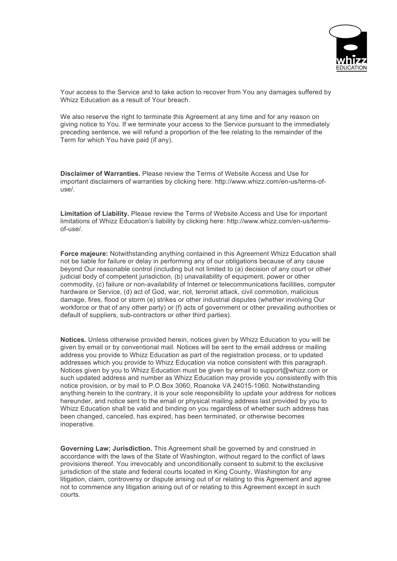

Your access to the Service and to take action to recover from You any damages suffered by Whizz Education as a result of Your breach.

We also reserve the right to terminate this Agreement at any time and for any reason on giving notice to You. If we terminate your access to the Service pursuant to the immediately preceding sentence, we will refund a proportion of the fee relating to the remainder of the Term for which You have paid (if any).

**Disclaimer of Warranties.** Please review the Terms of Website Access and Use for important disclaimers of warranties by clicking here: http://www.whizz.com/en-us/terms-ofuse/.

**Limitation of Liability.** Please review the Terms of Website Access and Use for important limitations of Whizz Education's liability by clicking here: http://www.whizz.com/en-us/termsof-use/.

**Force majeure:** Notwithstanding anything contained in this Agreement Whizz Education shall not be liable for failure or delay in performing any of our obligations because of any cause beyond Our reasonable control (including but not limited to (a) decision of any court or other judicial body of competent jurisdiction, (b) unavailability of equipment, power or other commodity, (c) failure or non-availability of Internet or telecommunications facilities, computer hardware or Service, (d) act of God, war, riot, terrorist attack, civil commotion, malicious damage, fires, flood or storm (e) strikes or other industrial disputes (whether involving Our workforce or that of any other party) or (f) acts of government or other prevailing authorities or default of suppliers, sub-contractors or other third parties).

**Notices.** Unless otherwise provided herein, notices given by Whizz Education to you will be given by email or by conventional mail. Notices will be sent to the email address or mailing address you provide to Whizz Education as part of the registration process, or to updated addresses which you provide to Whizz Education via notice consistent with this paragraph. Notices given by you to Whizz Education must be given by email to support@whizz.com or such updated address and number as Whizz Education may provide you consistently with this notice provision, or by mail to P.O.Box 3060, Roanoke VA 24015-1060. Notwithstanding anything herein to the contrary, it is your sole responsibility to update your address for notices hereunder, and notice sent to the email or physical mailing address last provided by you to Whizz Education shall be valid and binding on you regardless of whether such address has been changed, canceled, has expired, has been terminated, or otherwise becomes inoperative.

**Governing Law; Jurisdiction.** This Agreement shall be governed by and construed in accordance with the laws of the State of Washington, without regard to the conflict of laws provisions thereof. You irrevocably and unconditionally consent to submit to the exclusive jurisdiction of the state and federal courts located in King County, Washington for any litigation, claim, controversy or dispute arising out of or relating to this Agreement and agree not to commence any litigation arising out of or relating to this Agreement except in such courts.